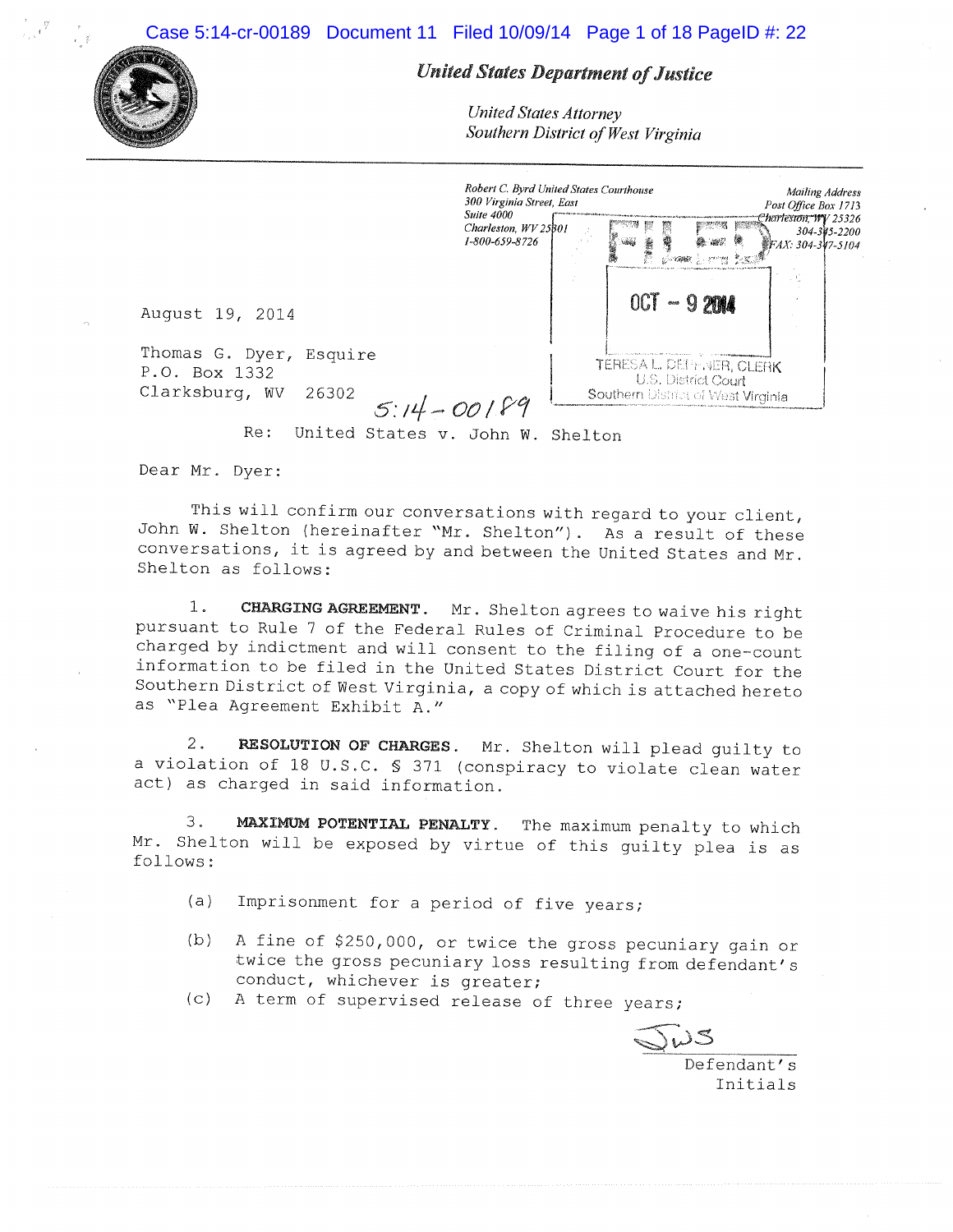Case 5:14-cr-00189 Document 11 Filed 10/09/14 Page 1 of 18 PageID #: 22



# **United States Department of Justice**

**United States Attorney** Southern District of West Virginia

| August 19, 2014                                                                 | Robert C. Byrd United States Courthouse<br>300 Virginia Street, East<br><b>Suite 4000</b><br>Charleston, WV 25801<br>1-800-659-8726 | robin                                                          | 001 | <b><i><i>STORIES</i></i></b> | <b>Services</b><br>$-9200$ | Post Office Box 1713<br>Charleston, WY 25326<br><i>WFAX: 304-347-5104</i> | Mailing Address<br>304-345-2200 |
|---------------------------------------------------------------------------------|-------------------------------------------------------------------------------------------------------------------------------------|----------------------------------------------------------------|-----|------------------------------|----------------------------|---------------------------------------------------------------------------|---------------------------------|
| Thomas G. Dyer, Esquire<br>P.O. Box 1332<br>Clarksburg, WV<br>26302<br>$5:14-C$ |                                                                                                                                     | TERESA L. DEPENER, CLERK<br>Southern District of West Virginia |     |                              | U.S. District Court        |                                                                           |                                 |

Re: United States v. John W. Shelton

Dear Mr. Dyer:

This will confirm our conversations with regard to your client, John W. Shelton (hereinafter "Mr. Shelton"). As a result of these conversations, it is agreed by and between the United States and Mr. Shelton as follows:

 $1.$ CHARGING AGREEMENT. Mr. Shelton agrees to waive his right pursuant to Rule 7 of the Federal Rules of Criminal Procedure to be charged by indictment and will consent to the filing of a one-count information to be filed in the United States District Court for the Southern District of West Virginia, a copy of which is attached hereto as "Plea Agreement Exhibit A."

RESOLUTION OF CHARGES. Mr. Shelton will plead quilty to  $2.$ a violation of 18 U.S.C. \$ 371 (conspiracy to violate clean water act) as charged in said information.

MAXIMUM POTENTIAL PENALTY. The maximum penalty to which 3. Mr. Shelton will be exposed by virtue of this guilty plea is as follows:

- $(a)$ Imprisonment for a period of five years;
- $(b)$ A fine of \$250,000, or twice the gross pecuniary gain or twice the gross pecuniary loss resulting from defendant's conduct, whichever is greater;
- (c) A term of supervised release of three years;

 $\frac{\sqrt{w}}{\sqrt{\frac{1}{0}}}}$ 

Initials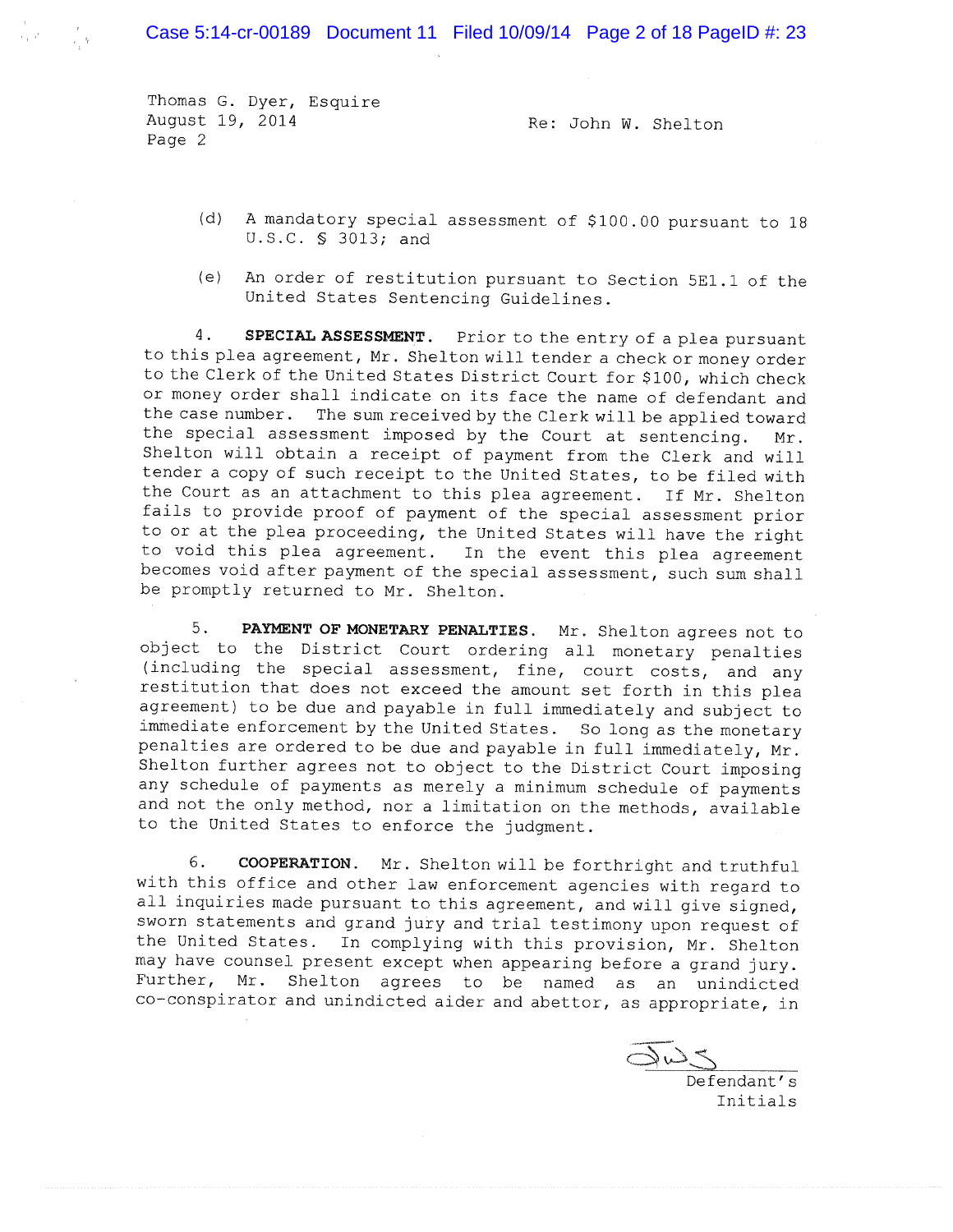Case 5:14-cr-00189 Document 11 Filed 10/09/14 Page 2 of 18 PageID #: 23

Thomas G. Dyer, Esquire August 19, 2014 Page 2

Re: John W. Shelton

- (d) A mandatory special assessment of \$100.00 pursuant to 18 U.S.C. § 3013; and
- (e) An order of restitution pursuant to Section 5E1.1 of the United States Sentencing Guidelines.

SPECIAL ASSESSMENT. Prior to the entry of a plea pursuant  $4.$ to this plea agreement, Mr. Shelton will tender a check or money order to the Clerk of the United States District Court for \$100, which check or money order shall indicate on its face the name of defendant and the case number. The sum received by the Clerk will be applied toward the special assessment imposed by the Court at sentencing. Mr. Shelton will obtain a receipt of payment from the Clerk and will tender a copy of such receipt to the United States, to be filed with the Court as an attachment to this plea agreement. If Mr. Shelton fails to provide proof of payment of the special assessment prior to or at the plea proceeding, the United States will have the right to void this plea agreement. In the event this plea agreement becomes void after payment of the special assessment, such sum shall be promptly returned to Mr. Shelton.

PAYMENT OF MONETARY PENALTIES. Mr. Shelton agrees not to 5. object to the District Court ordering all monetary penalties (including the special assessment, fine, court costs, and any restitution that does not exceed the amount set forth in this plea agreement) to be due and payable in full immediately and subject to immediate enforcement by the United States. So long as the monetary penalties are ordered to be due and payable in full immediately, Mr. Shelton further agrees not to object to the District Court imposing any schedule of payments as merely a minimum schedule of payments and not the only method, nor a limitation on the methods, available to the United States to enforce the judgment.

6. COOPERATION. Mr. Shelton will be forthright and truthful with this office and other law enforcement agencies with regard to all inquiries made pursuant to this agreement, and will give signed, sworn statements and grand jury and trial testimony upon request of the United States. In complying with this provision, Mr. Shelton may have counsel present except when appearing before a grand jury. Further, Mr. Shelton agrees to be named as an unindicted co-conspirator and unindicted aider and abettor, as appropriate, in

 $\frac{\sqrt{W}}{\sqrt{\frac{1}{1-\log P}}}}$ 

Initials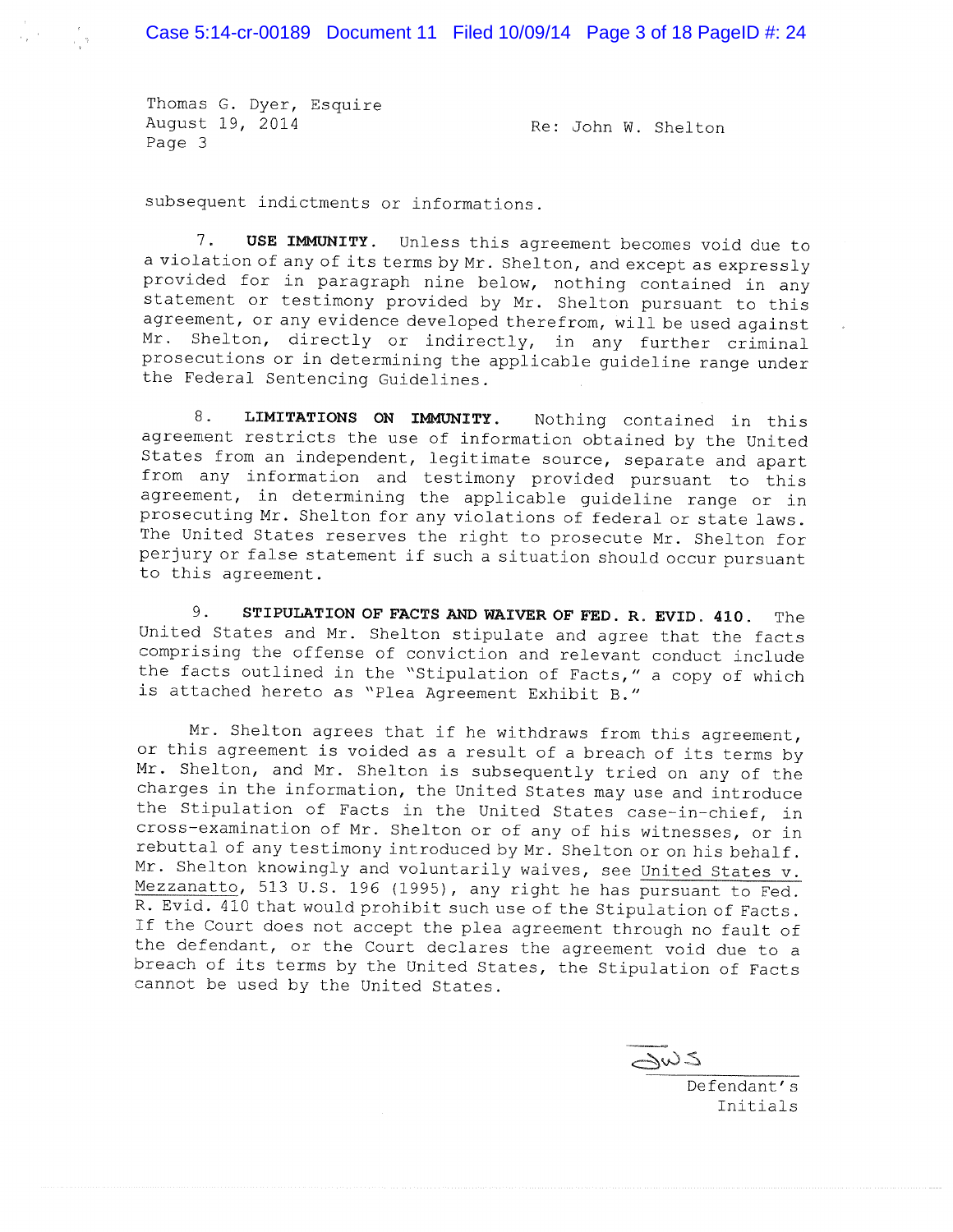Thomas G. Dyer, Esquire August 19, 2014 Page 3

Re: John W. Shelton

subsequent indictments or informations.

 $7.$ USE IMMUNITY. Unless this agreement becomes void due to a violation of any of its terms by Mr. Shelton, and except as expressly provided for in paragraph nine below, nothing contained in any statement or testimony provided by Mr. Shelton pursuant to this agreement, or any evidence developed therefrom, will be used against Mr. Shelton, directly or indirectly, in any further criminal prosecutions or in determining the applicable guideline range under the Federal Sentencing Guidelines.

8. LIMITATIONS ON IMMUNITY. Nothing contained in this agreement restricts the use of information obtained by the United States from an independent, legitimate source, separate and apart from any information and testimony provided pursuant to this agreement, in determining the applicable guideline range or in prosecuting Mr. Shelton for any violations of federal or state laws. The United States reserves the right to prosecute Mr. Shelton for perjury or false statement if such a situation should occur pursuant to this agreement.

STIPULATION OF FACTS AND WAIVER OF FED. R. EVID. 410. 9. The United States and Mr. Shelton stipulate and agree that the facts comprising the offense of conviction and relevant conduct include the facts outlined in the "Stipulation of Facts," a copy of which is attached hereto as "Plea Agreement Exhibit B."

Mr. Shelton agrees that if he withdraws from this agreement, or this agreement is voided as a result of a breach of its terms by Mr. Shelton, and Mr. Shelton is subsequently tried on any of the charges in the information, the United States may use and introduce the Stipulation of Facts in the United States case-in-chief, in cross-examination of Mr. Shelton or of any of his witnesses, or in rebuttal of any testimony introduced by Mr. Shelton or on his behalf. Mr. Shelton knowingly and voluntarily waives, see United States v. Mezzanatto, 513 U.S. 196 (1995), any right he has pursuant to Fed. R. Evid. 410 that would prohibit such use of the Stipulation of Facts. If the Court does not accept the plea agreement through no fault of the defendant, or the Court declares the agreement void due to a breach of its terms by the United States, the Stipulation of Facts cannot be used by the United States.

**ک**اس

Defendant's Initials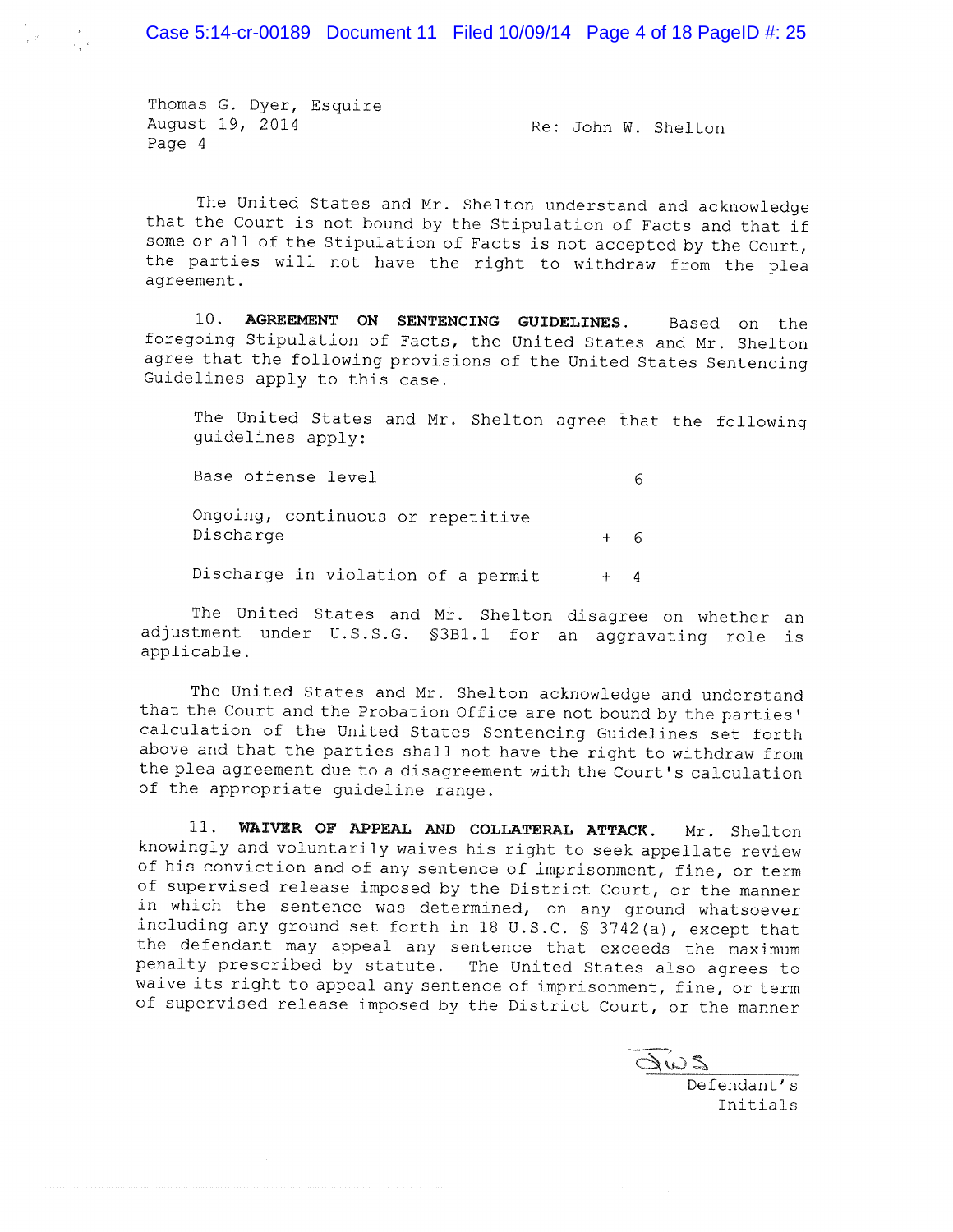Case 5:14-cr-00189 Document 11 Filed 10/09/14 Page 4 of 18 PageID #: 25

Thomas G. Dyer, Esquire August 19, 2014 Page 4

Re: John W. Shelton

The United States and Mr. Shelton understand and acknowledge that the Court is not bound by the Stipulation of Facts and that if some or all of the Stipulation of Facts is not accepted by the Court, the parties will not have the right to withdraw from the plea agreement.

10. AGREEMENT ON SENTENCING GUIDELINES. Based on the foregoing Stipulation of Facts, the United States and Mr. Shelton agree that the following provisions of the United States Sentencing Guidelines apply to this case.

The United States and Mr. Shelton agree that the following guidelines apply:

Base offense level

6

6

Ongoing, continuous or repetitive Discharge  $+$ 

Discharge in violation of a permit  $+ 4$ 

The United States and Mr. Shelton disagree on whether an adjustment under U.S.S.G. \$3B1.1 for an aggravating role is applicable.

The United States and Mr. Shelton acknowledge and understand that the Court and the Probation Office are not bound by the parties' calculation of the United States Sentencing Guidelines set forth above and that the parties shall not have the right to withdraw from the plea agreement due to a disagreement with the Court's calculation of the appropriate guideline range.

11. WAIVER OF APPEAL AND COLLATERAL ATTACK. Mr. Shelton knowingly and voluntarily waives his right to seek appellate review of his conviction and of any sentence of imprisonment, fine, or term of supervised release imposed by the District Court, or the manner in which the sentence was determined, on any ground whatsoever including any ground set forth in 18 U.S.C. § 3742(a), except that the defendant may appeal any sentence that exceeds the maximum penalty prescribed by statute. The United States also agrees to waive its right to appeal any sentence of imprisonment, fine, or term of supervised release imposed by the District Court, or the manner

2WB

Defendant's Initials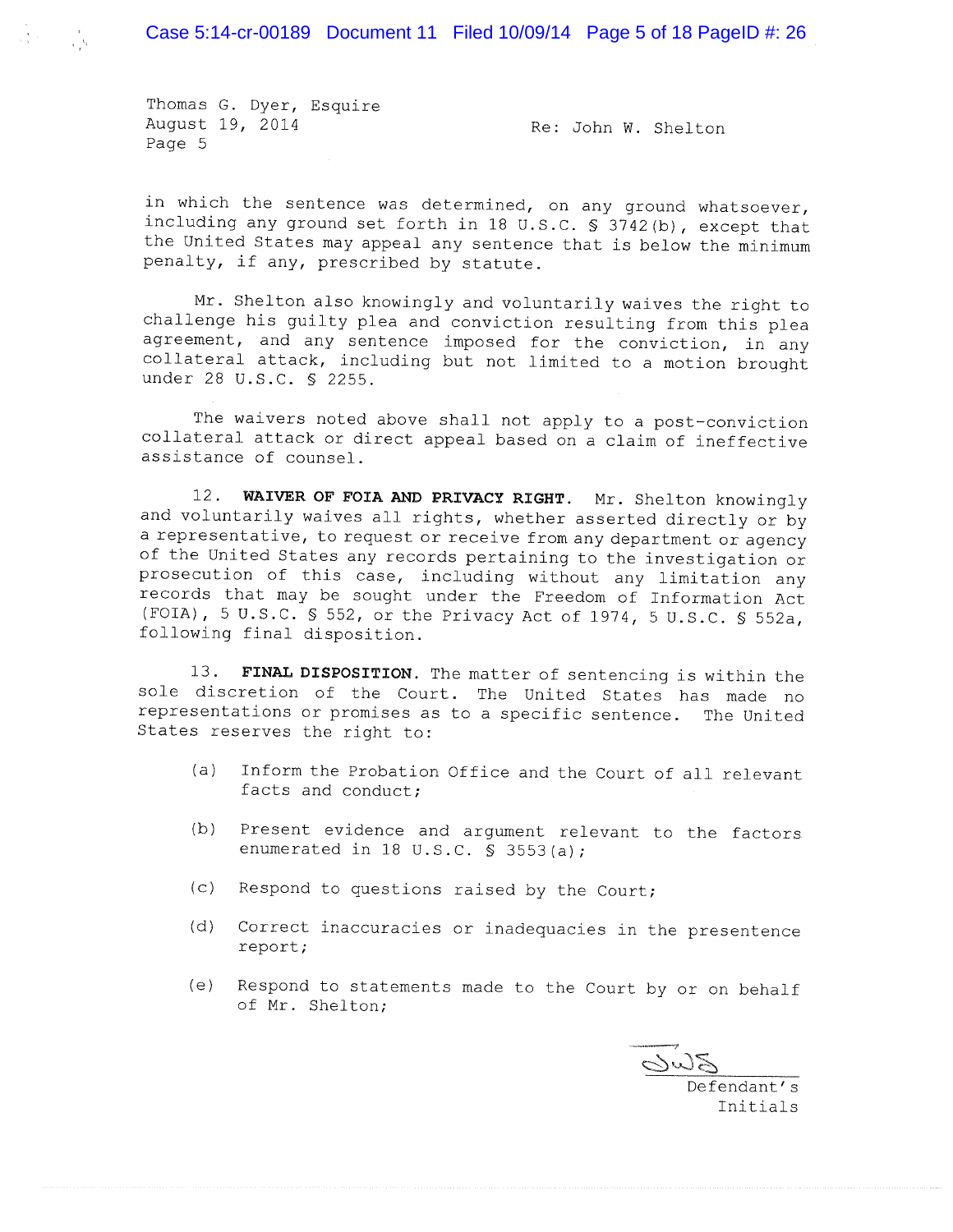Case 5:14-cr-00189 Document 11 Filed 10/09/14 Page 5 of 18 PageID #: 26

Thomas G. Dyer, Esquire August 19, 2014 Page 5

 $\label{eq:12} \frac{\mathbf{v}}{\mathbf{v}(\mathbf{r})} \mathbf{v} = \frac{\mathbf{r}}{\sqrt{\mathbf{q}} \mathbf{v}}$ 

Re: John W. Shelton

in which the sentence was determined, on any ground whatsoever, including any ground set forth in 18 U.S.C. § 3742(b), except that the United States may appeal any sentence that is below the minimum penalty, if any, prescribed by statute.

Mr. Shelton also knowingly and voluntarily waives the right to challenge his guilty plea and conviction resulting from this plea agreement, and any sentence imposed for the conviction, in any collateral attack, including but not limited to a motion brought under 28 U.S.C. § 2255.

The waivers noted above shall not apply to a post-conviction collateral attack or direct appeal based on a claim of ineffective assistance of counsel.

12. WAIVER OF FOIA AND PRIVACY RIGHT. Mr. Shelton knowingly and voluntarily waives all rights, whether asserted directly or by a representative, to request or receive from any department or agency of the United States any records pertaining to the investigation or prosecution of this case, including without any limitation any records that may be sought under the Freedom of Information Act (FOIA), 5 U.S.C. § 552, or the Privacy Act of 1974, 5 U.S.C. § 552a, following final disposition.

13. FINAL DISPOSITION. The matter of sentencing is within the sole discretion of the Court. The United States has made no representations or promises as to a specific sentence. The United States reserves the right to:

- Inform the Probation Office and the Court of all relevant  $(a)$ facts and conduct;
- (b) Present evidence and argument relevant to the factors enumerated in 18 U.S.C.  $\frac{1}{5}$  3553(a);
- (c) Respond to questions raised by the Court;
- (d) Correct inaccuracies or inadequacies in the presentence report;
- $(e)$ Respond to statements made to the Court by or on behalf of Mr. Shelton;

 $\underline{\overline{\mathrm{S\dot{\omega}\mathrm{S}}}}$ 

Defendant's Initials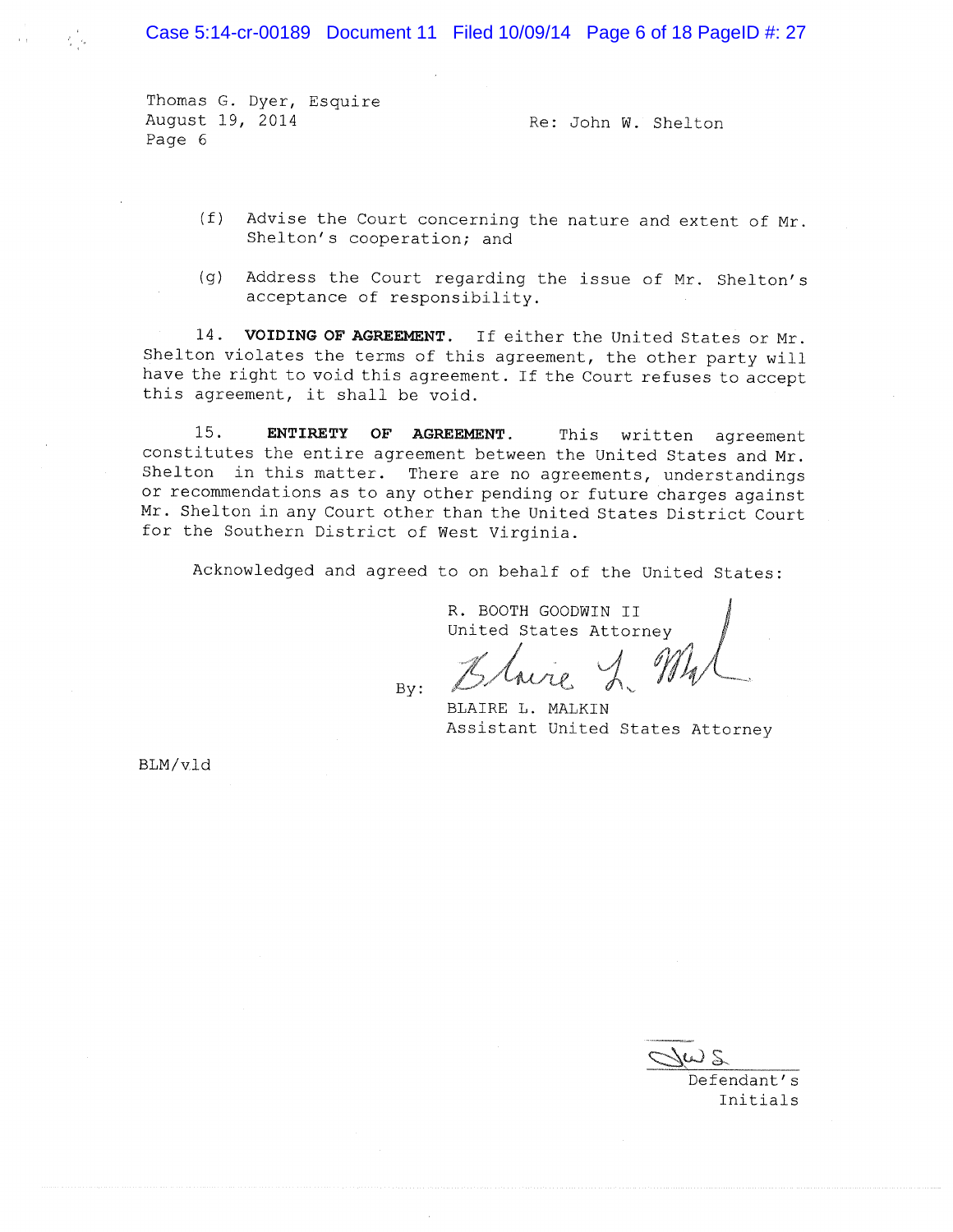Case 5:14-cr-00189 Document 11 Filed 10/09/14 Page 6 of 18 PageID #: 27

Thomas G. Dyer, Esquire August 19, 2014 Page 6

Re: John W. Shelton

- (f) Advise the Court concerning the nature and extent of Mr. Shelton's cooperation; and
- (g) Address the Court regarding the issue of Mr. Shelton's acceptance of responsibility.

14. VOIDING OF AGREEMENT. If either the United States or Mr. Shelton violates the terms of this agreement, the other party will have the right to void this agreement. If the Court refuses to accept this agreement, it shall be void.

 $15.$ ENTIRETY OF AGREEMENT. This written agreement constitutes the entire agreement between the United States and Mr. Shelton in this matter. There are no agreements, understandings or recommendations as to any other pending or future charges against Mr. Shelton in any Court other than the United States District Court for the Southern District of West Virginia.

Acknowledged and agreed to on behalf of the United States:

R. BOOTH GOODWIN II United States Attorney

 $By:$ 

BLAIRE L. MALKIN Assistant United States Attorney

BLM/vld

Defendant's Initials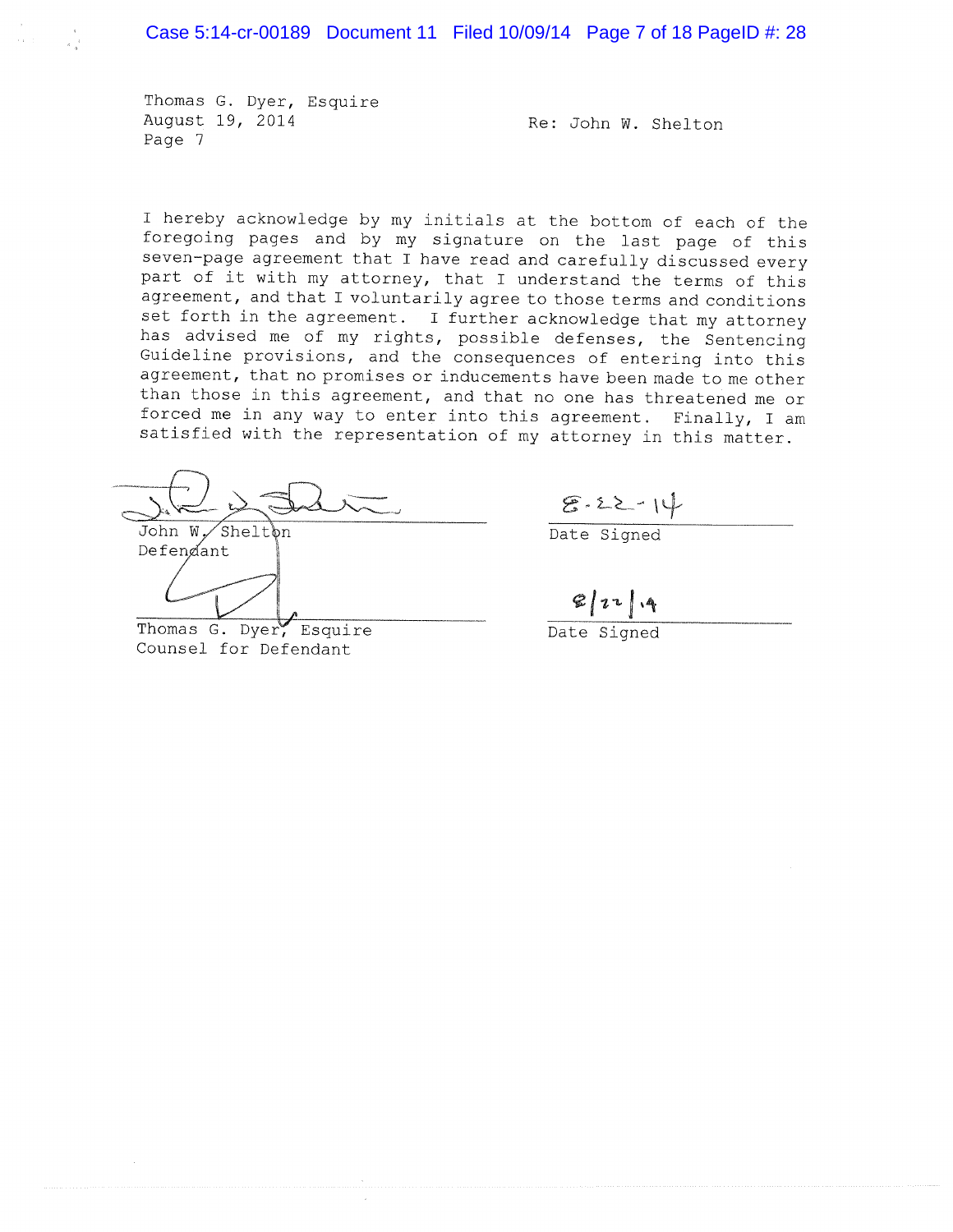Thomas G. Dyer, Esquire August 19, 2014 Page 7

Re: John W. Shelton

I hereby acknowledge by my initials at the bottom of each of the foregoing pages and by my signature on the last page of this seven-page agreement that I have read and carefully discussed every part of it with my attorney, that I understand the terms of this agreement, and that I voluntarily agree to those terms and conditions set forth in the agreement. I further acknowledge that my attorney has advised me of my rights, possible defenses, the Sentencing Guideline provisions, and the consequences of entering into this agreement, that no promises or inducements have been made to me other than those in this agreement, and that no one has threatened me or forced me in any way to enter into this agreement. Finally, I am satisfied with the representation of my attorney in this matter.

John W. Sheltbn Defendant

Thomas G. Dyer, Esquire Counsel for Defendant

 $8.22 - 14$ 

Date Signed

 $2|1 - |4$ 

Date Signed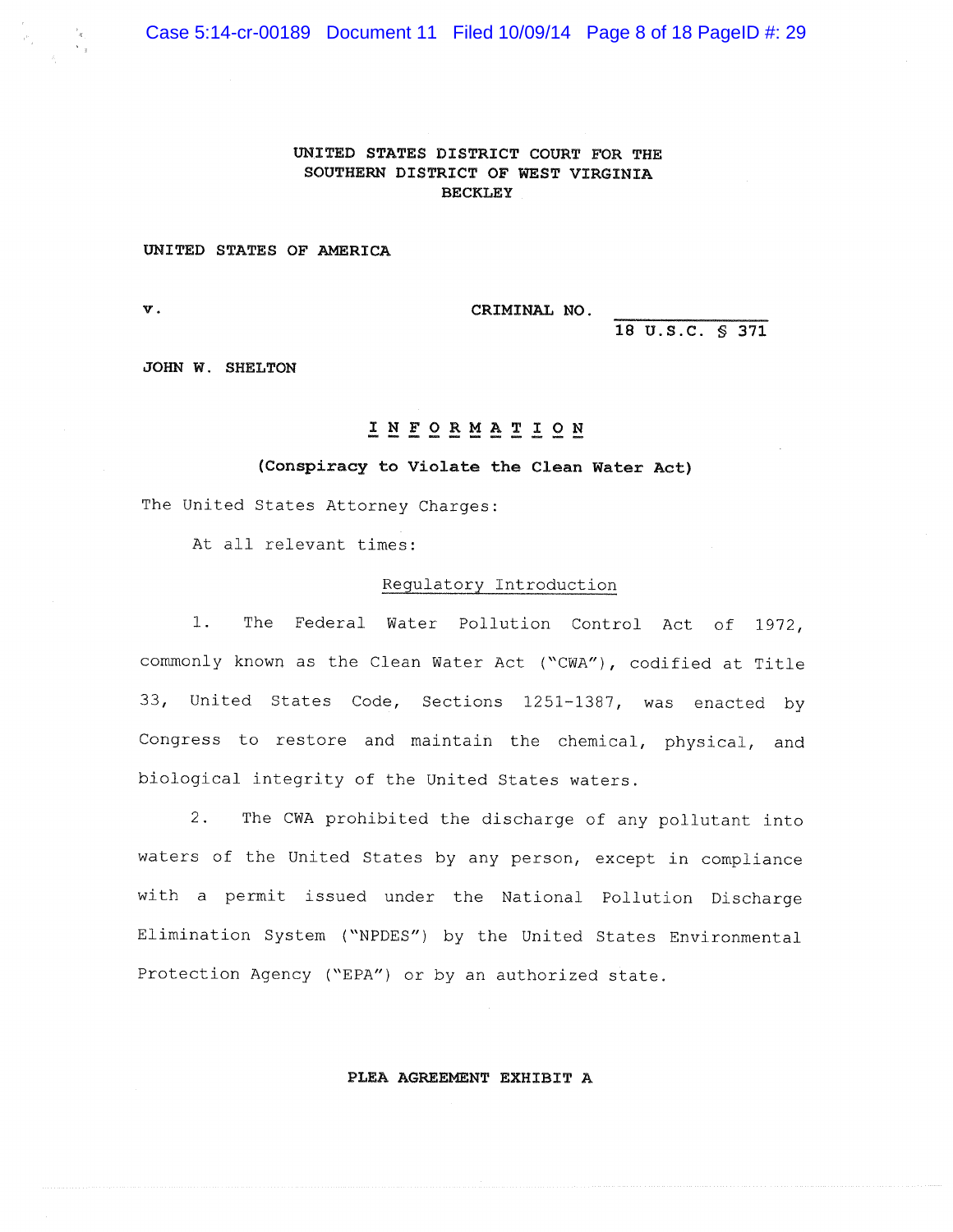Case 5:14-cr-00189 Document 11 Filed 10/09/14 Page 8 of 18 PageID #: 29

## UNITED STATES DISTRICT COURT FOR THE SOUTHERN DISTRICT OF WEST VIRGINIA **BECKLEY**

### UNITED STATES OF AMERICA

 $\mathbf{v}$ .

CRIMINAL NO.

18 U.S.C. \$ 371

JOHN W. SHELTON

# INFORMATION

### (Conspiracy to Violate the Clean Water Act)

The United States Attorney Charges:

At all relevant times:

### Regulatory Introduction

 $1<sup>1</sup>$ The Federal Water Pollution Control Act of 1972, commonly known as the Clean Water Act ("CWA"), codified at Title 33, United States Code, Sections 1251-1387, was enacted by Congress to restore and maintain the chemical, physical, and biological integrity of the United States waters.

 $2.$ The CWA prohibited the discharge of any pollutant into waters of the United States by any person, except in compliance with a permit issued under the National Pollution Discharge Elimination System ("NPDES") by the United States Environmental Protection Agency ("EPA") or by an authorized state.

PLEA AGREEMENT EXHIBIT A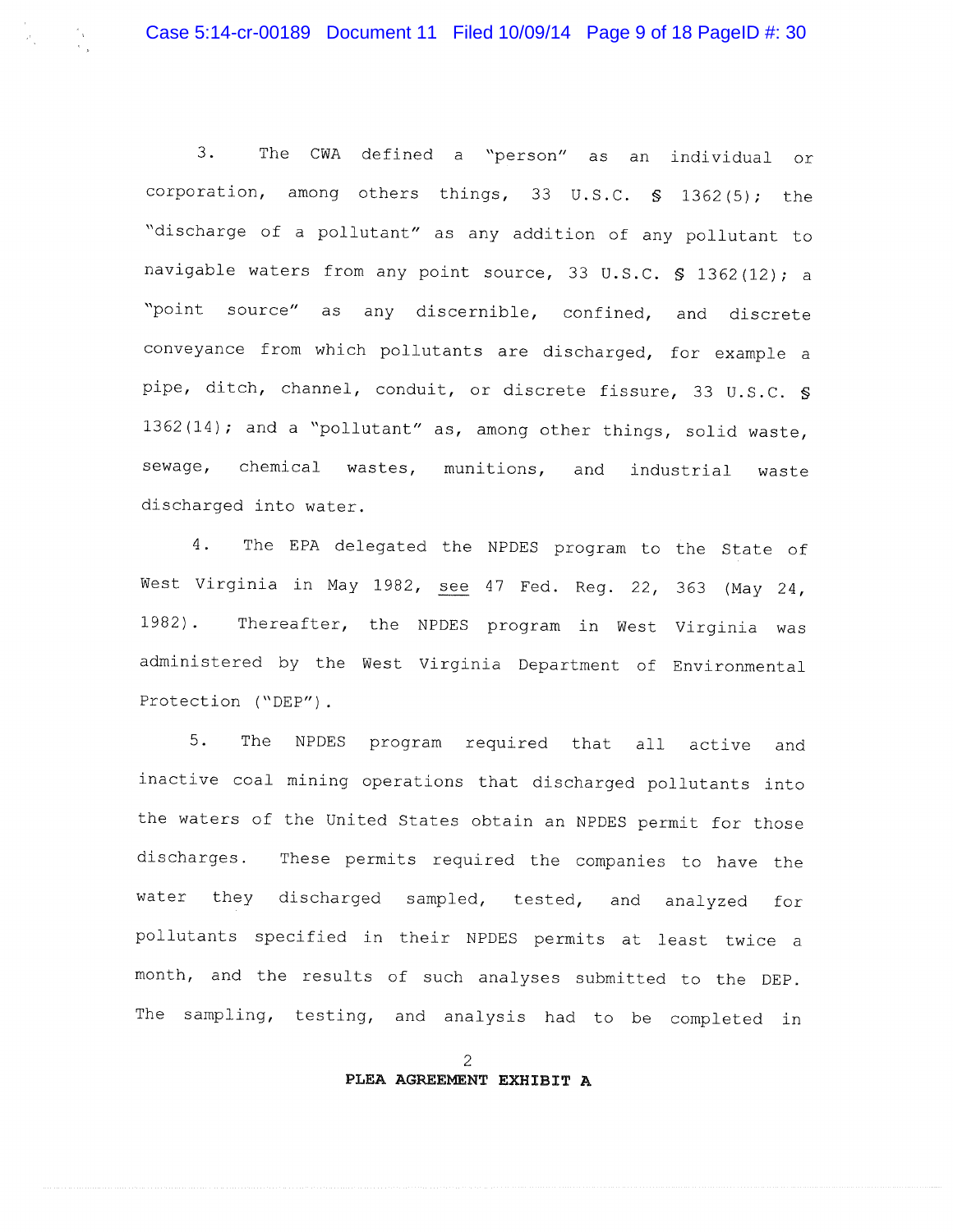$3.$ The CWA defined a "person" as an individual or corporation, among others things, 33 U.S.C. § 1362(5); the "discharge of a pollutant" as any addition of any pollutant to navigable waters from any point source, 33 U.S.C. \$ 1362(12); a "point source" as any discernible, confined, and discrete conveyance from which pollutants are discharged, for example a pipe, ditch, channel, conduit, or discrete fissure, 33 U.S.C. § 1362(14); and a "pollutant" as, among other things, solid waste, chemical wastes, munitions, and sewage, industrial waste discharged into water.

 $4.$ The EPA delegated the NPDES program to the State of West Virginia in May 1982, see 47 Fed. Reg. 22, 363 (May 24, Thereafter, the NPDES program in West Virginia was  $1982$ . administered by the West Virginia Department of Environmental Protection ("DEP").

5. The NPDES program required that all active and inactive coal mining operations that discharged pollutants into the waters of the United States obtain an NPDES permit for those discharges. These permits required the companies to have the water they discharged sampled, tested, and analyzed for pollutants specified in their NPDES permits at least twice a month, and the results of such analyses submitted to the DEP. The sampling, testing, and analysis had to be completed in

> $\overline{c}$ PLEA AGREEMENT EXHIBIT A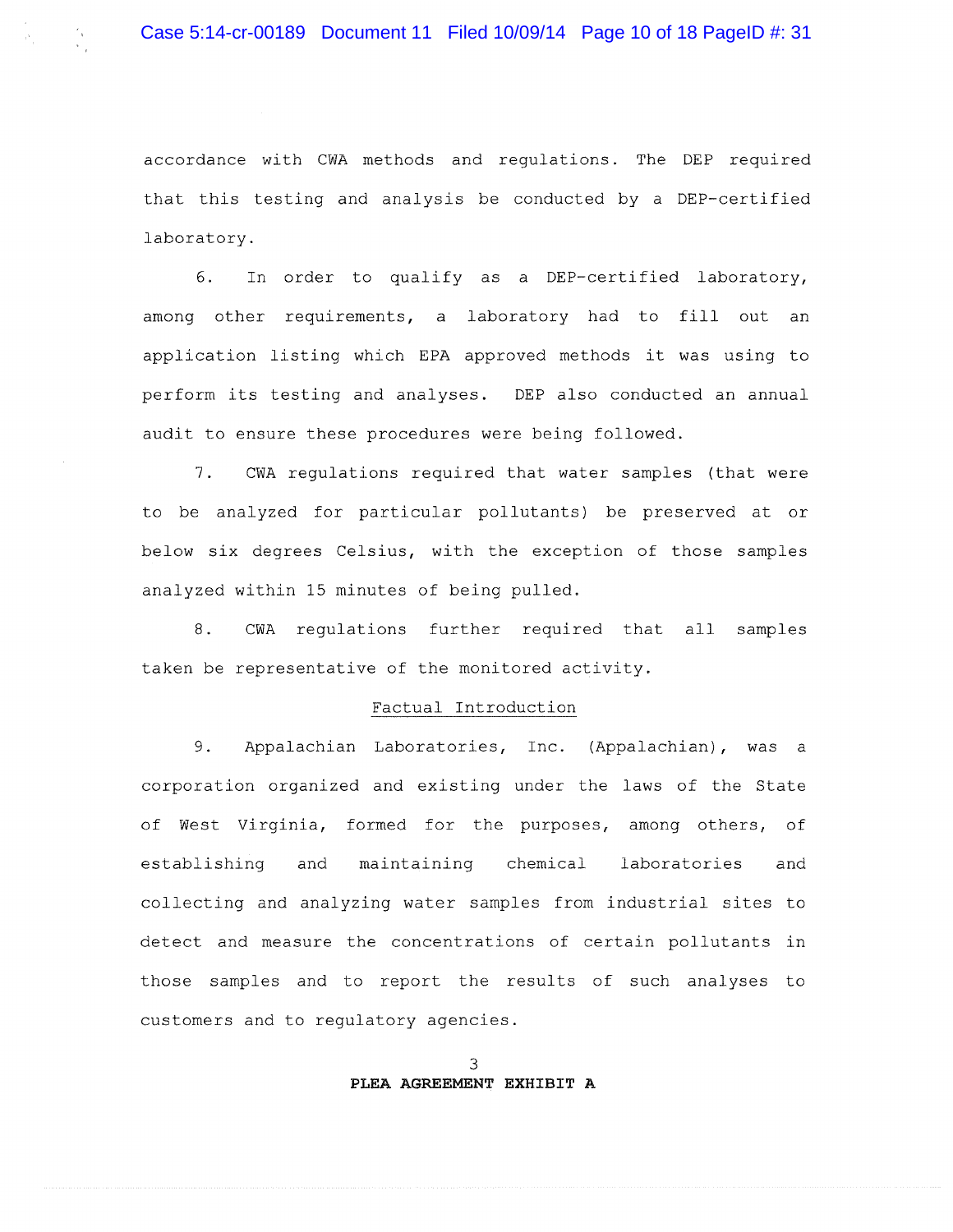accordance with CWA methods and regulations. The DEP required that this testing and analysis be conducted by a DEP-certified laboratory.

In order to qualify as a DEP-certified laboratory, 6. among other requirements, a laboratory had to fill out an application listing which EPA approved methods it was using to perform its testing and analyses. DEP also conducted an annual audit to ensure these procedures were being followed.

 $7.$ CWA regulations required that water samples (that were to be analyzed for particular pollutants) be preserved at or below six degrees Celsius, with the exception of those samples analyzed within 15 minutes of being pulled.

 $8.$ CWA regulations further required that all samples taken be representative of the monitored activity.

### Factual Introduction

9. Appalachian Laboratories, Inc. (Appalachian), was a corporation organized and existing under the laws of the State of West Virginia, formed for the purposes, among others, of establishing and maintaining chemical laboratories and collecting and analyzing water samples from industrial sites to detect and measure the concentrations of certain pollutants in those samples and to report the results of such analyses to customers and to regulatory agencies.

> 3 PLEA AGREEMENT EXHIBIT A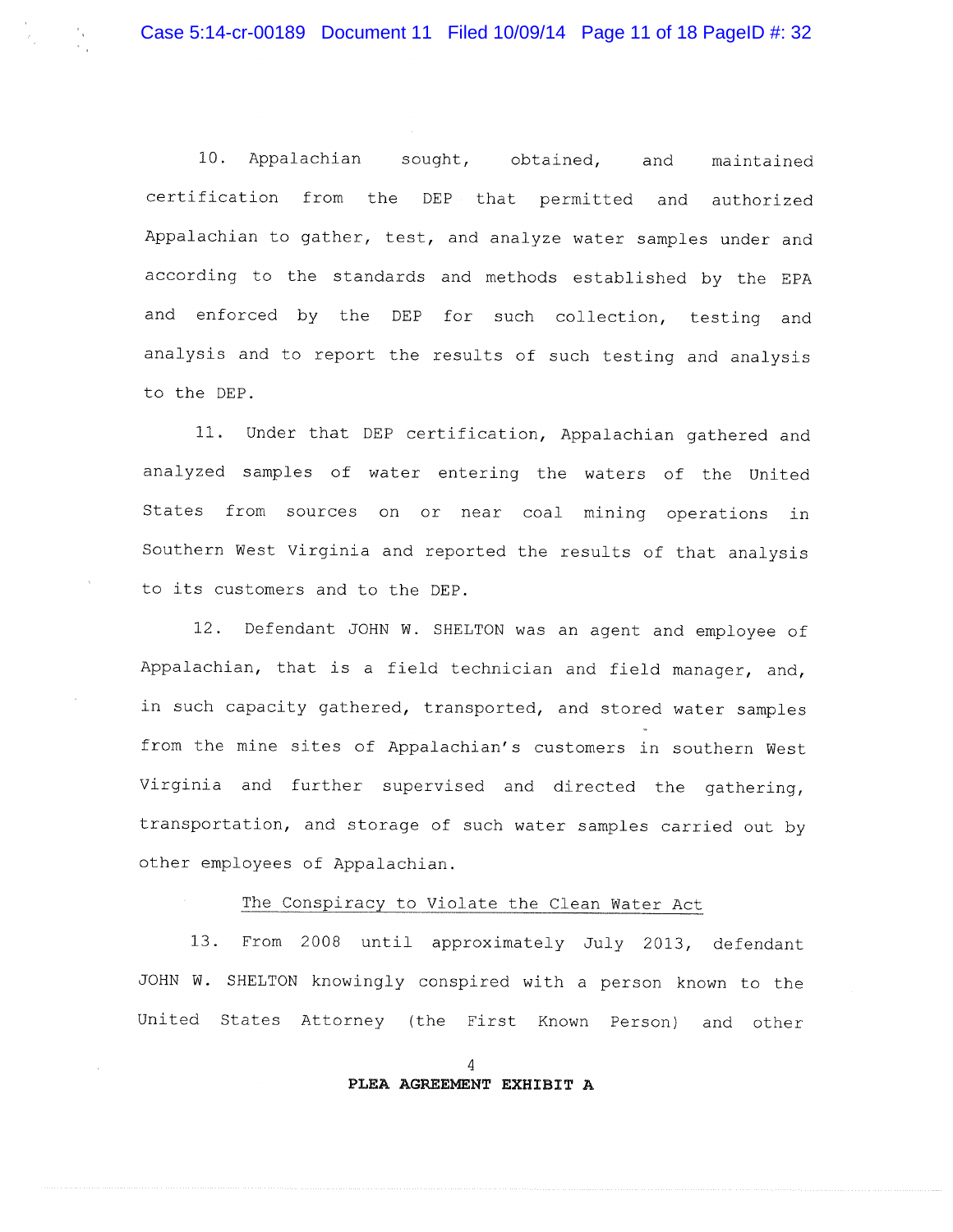10. Appalachian sought, obtained, maintained and certification from the DEP that permitted and authorized Appalachian to gather, test, and analyze water samples under and according to the standards and methods established by the EPA and enforced by the DEP for such collection, testing and analysis and to report the results of such testing and analysis to the DEP.

11. Under that DEP certification, Appalachian gathered and analyzed samples of water entering the waters of the United States from sources on or near coal mining operations in Southern West Virginia and reported the results of that analysis to its customers and to the DEP.

12. Defendant JOHN W. SHELTON was an agent and employee of Appalachian, that is a field technician and field manager, and, in such capacity gathered, transported, and stored water samples from the mine sites of Appalachian's customers in southern West Virginia and further supervised and directed the gathering, transportation, and storage of such water samples carried out by other employees of Appalachian.

## The Conspiracy to Violate the Clean Water Act

 $13.$ From 2008 until approximately July 2013, defendant JOHN W. SHELTON knowingly conspired with a person known to the United States Attorney (the First Known Person) and other

### $\overline{4}$ PLEA AGREEMENT EXHIBIT A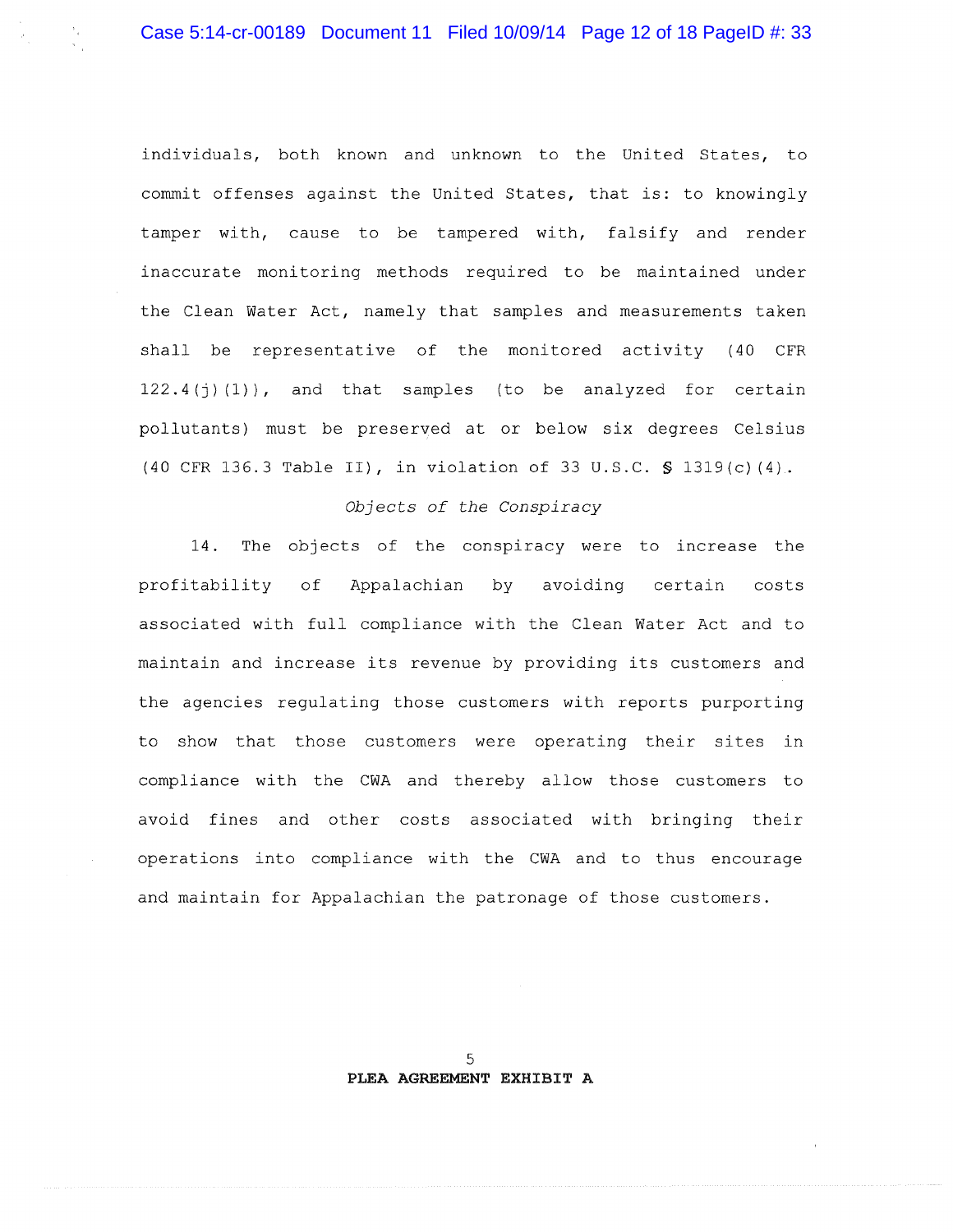individuals, both known and unknown to the United States, to commit offenses against the United States, that is: to knowingly tamper with, cause to be tampered with, falsify and render inaccurate monitoring methods required to be maintained under the Clean Water Act, namely that samples and measurements taken shall be representative of the monitored activity (40 CFR  $122.4(i)(1)$ , and that samples (to be analyzed for certain pollutants) must be preserved at or below six degrees Celsius (40 CFR 136.3 Table II), in violation of 33 U.S.C. § 1319(c)(4).

### Objects of the Conspiracy

The objects of the conspiracy were to increase the  $14.$ profitability of Appalachian by avoiding certain costs associated with full compliance with the Clean Water Act and to maintain and increase its revenue by providing its customers and the agencies regulating those customers with reports purporting to show that those customers were operating their sites in compliance with the CWA and thereby allow those customers to avoid fines and other costs associated with bringing their operations into compliance with the CWA and to thus encourage and maintain for Appalachian the patronage of those customers.

> 5 PLEA AGREEMENT EXHIBIT A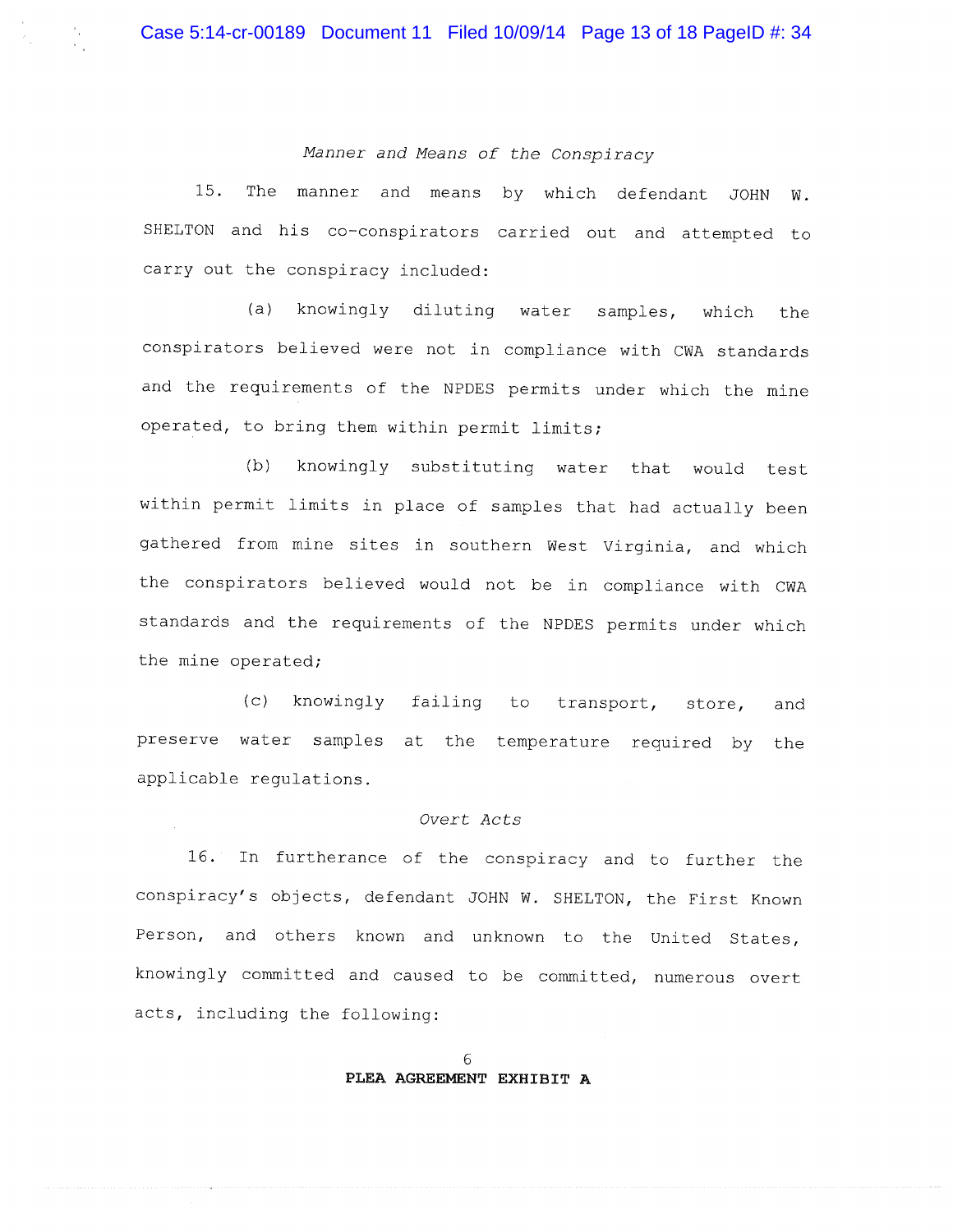Manner and Means of the Conspiracy

15. The manner and means by which defendant JOHN W. SHELTON and his co-conspirators carried out and attempted to carry out the conspiracy included:

 $(a)$ knowingly diluting water samples, which the conspirators believed were not in compliance with CWA standards and the requirements of the NPDES permits under which the mine operated, to bring them within permit limits;

(b) knowingly substituting water that would test within permit limits in place of samples that had actually been gathered from mine sites in southern West Virginia, and which the conspirators believed would not be in compliance with CWA standards and the requirements of the NPDES permits under which the mine operated;

 $(c)$ knowingly failing to transport, store, and preserve water samples at the temperature required by the applicable regulations.

### Overt Acts

16. In furtherance of the conspiracy and to further the conspiracy's objects, defendant JOHN W. SHELTON, the First Known Person, and others known and unknown to the United States, knowingly committed and caused to be committed, numerous overt acts, including the following: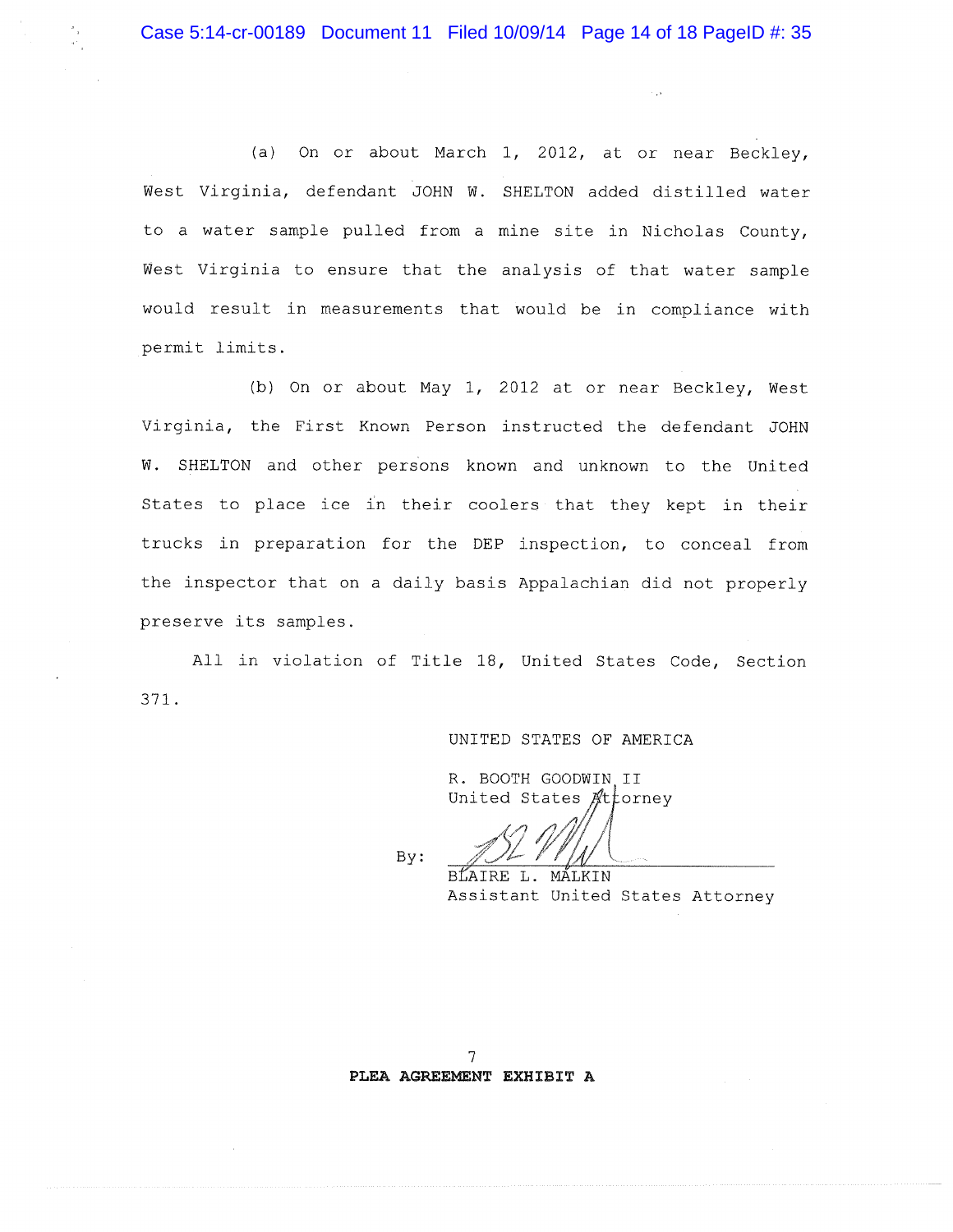(a) On or about March 1, 2012, at or near Beckley, West Virginia, defendant JOHN W. SHELTON added distilled water to a water sample pulled from a mine site in Nicholas County, West Virginia to ensure that the analysis of that water sample would result in measurements that would be in compliance with permit limits.

(b) On or about May 1, 2012 at or near Beckley, West Virginia, the First Known Person instructed the defendant JOHN W. SHELTON and other persons known and unknown to the United States to place ice in their coolers that they kept in their trucks in preparation for the DEP inspection, to conceal from the inspector that on a daily basis Appalachian did not properly preserve its samples.

All in violation of Title 18, United States Code, Section 371.

#### UNITED STATES OF AMERICA

R. BOOTH GOODWIN II United States Attorney

By:

BLAIRE L. MALKIN

Assistant United States Attorney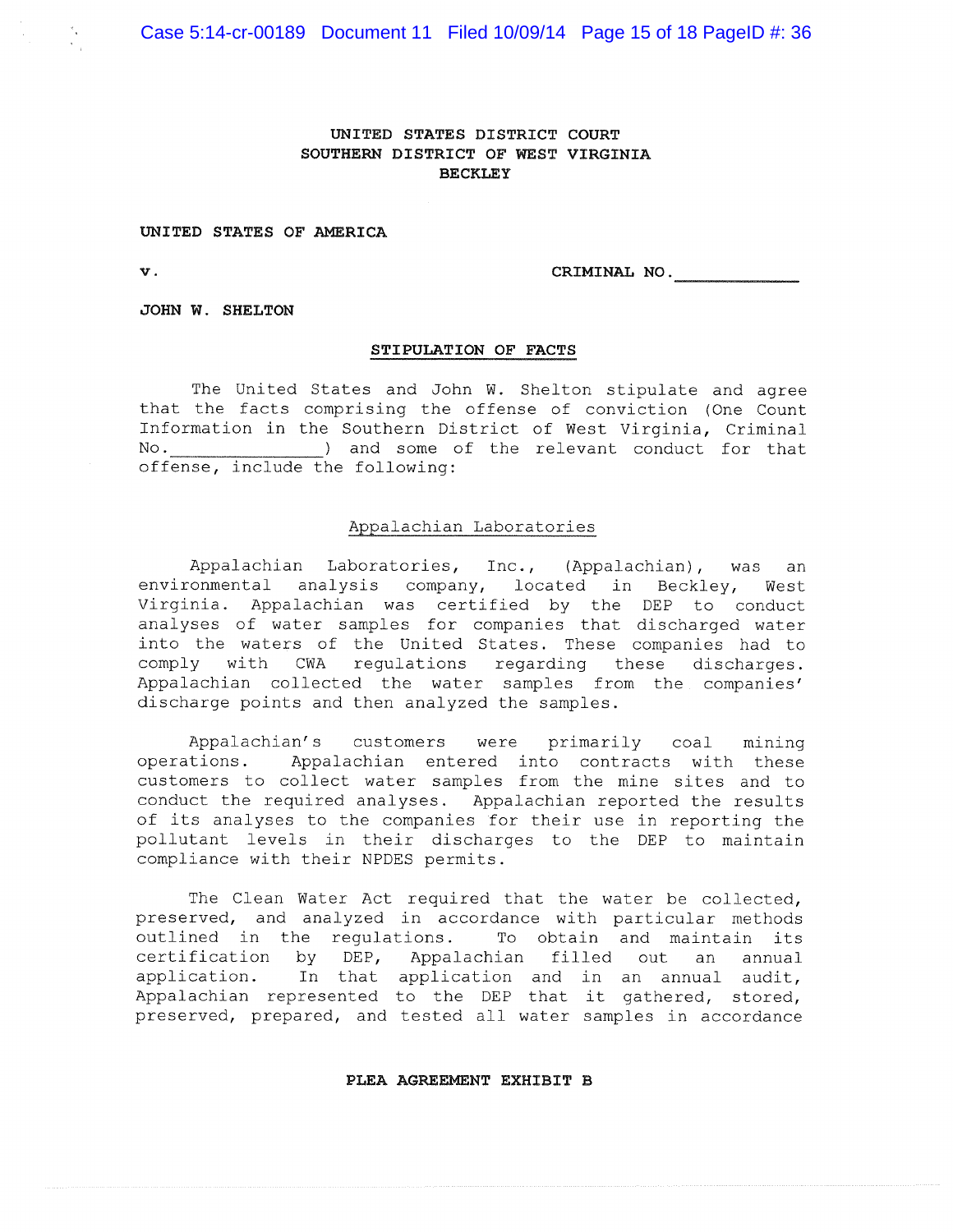### UNITED STATES DISTRICT COURT SOUTHERN DISTRICT OF WEST VIRGINIA **BECKLEY**

### UNITED STATES OF AMERICA

**v**.

CRIMINAL NO.

JOHN W. SHELTON

### STIPULATION OF FACTS

The United States and John W. Shelton stipulate and agree that the facts comprising the offense of conviction (One Count Information in the Southern District of West Virginia, Criminal  $\mathbb N$ o. ) and some of the relevant conduct for that offense, include the following:

### Appalachian Laboratories

Appalachian Laboratories, Inc., (Appalachian), was an environmental analysis company, located in Beckley, West Virginia. Appalachian was certified by the DEP to conduct analyses of water samples for companies that discharged water into the waters of the United States. These companies had to comply with CWA regulations regarding these discharges. Appalachian collected the water samples from the companies' discharge points and then analyzed the samples.

Appalachian's customers were primarily coal mining operations. Appalachian entered into contracts with these customers to collect water samples from the mine sites and to conduct the required analyses. Appalachian reported the results of its analyses to the companies for their use in reporting the pollutant levels in their discharges to the DEP to maintain compliance with their NPDES permits.

The Clean Water Act required that the water be collected, preserved, and analyzed in accordance with particular methods outlined in the regulations. To obtain and maintain its certification by DEP, Appalachian filled out an annual In that application and in an annual audit, application. Appalachian represented to the DEP that it gathered, stored, preserved, prepared, and tested all water samples in accordance

#### PLEA AGREEMENT EXHIBIT B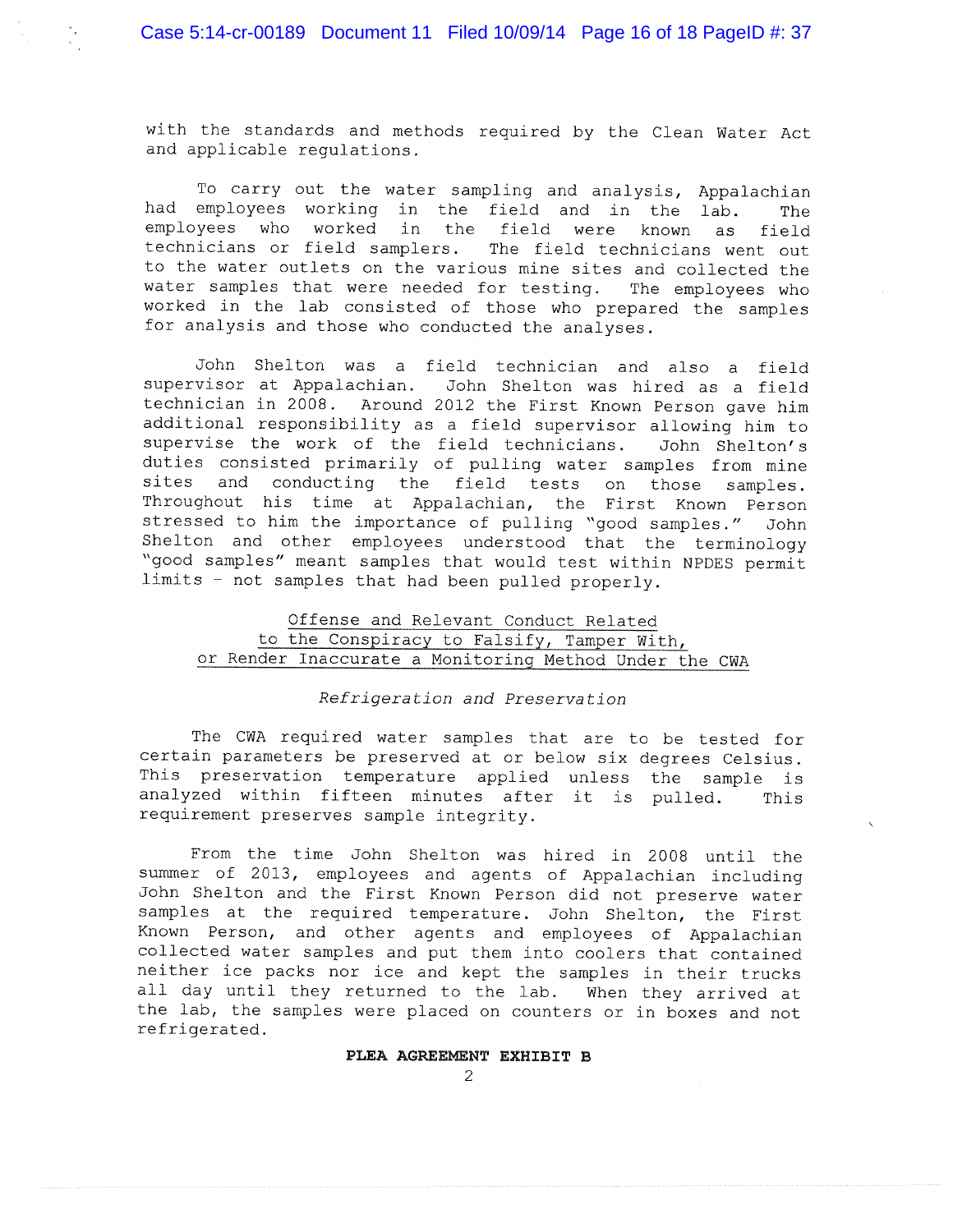with the standards and methods required by the Clean Water Act and applicable requlations.

To carry out the water sampling and analysis, Appalachian had employees working in the field and in the lab. The employees who worked in the field were known as field technicians or field samplers. The field technicians went out to the water outlets on the various mine sites and collected the water samples that were needed for testing. The employees who worked in the lab consisted of those who prepared the samples for analysis and those who conducted the analyses.

John Shelton was a field technician and also a field supervisor at Appalachian. John Shelton was hired as a field technician in 2008. Around 2012 the First Known Person gave him additional responsibility as a field supervisor allowing him to supervise the work of the field technicians. John Shelton's duties consisted primarily of pulling water samples from mine sites and conducting the field tests on those samples. Throughout his time at Appalachian, the First Known Person stressed to him the importance of pulling "good samples." John Shelton and other employees understood that the terminology "good samples" meant samples that would test within NPDES permit limits - not samples that had been pulled properly.

## Offense and Relevant Conduct Related to the Conspiracy to Falsify, Tamper With, or Render Inaccurate a Monitoring Method Under the CWA

### Refrigeration and Preservation

The CWA required water samples that are to be tested for certain parameters be preserved at or below six degrees Celsius. This preservation temperature applied unless the sample is analyzed within fifteen minutes after it is pulled. This requirement preserves sample integrity.

From the time John Shelton was hired in 2008 until the summer of 2013, employees and agents of Appalachian including John Shelton and the First Known Person did not preserve water samples at the required temperature. John Shelton, the First Known Person, and other agents and employees of Appalachian collected water samples and put them into coolers that contained neither ice packs nor ice and kept the samples in their trucks all day until they returned to the lab. When they arrived at the lab, the samples were placed on counters or in boxes and not refrigerated.

## PLEA AGREEMENT EXHIBIT B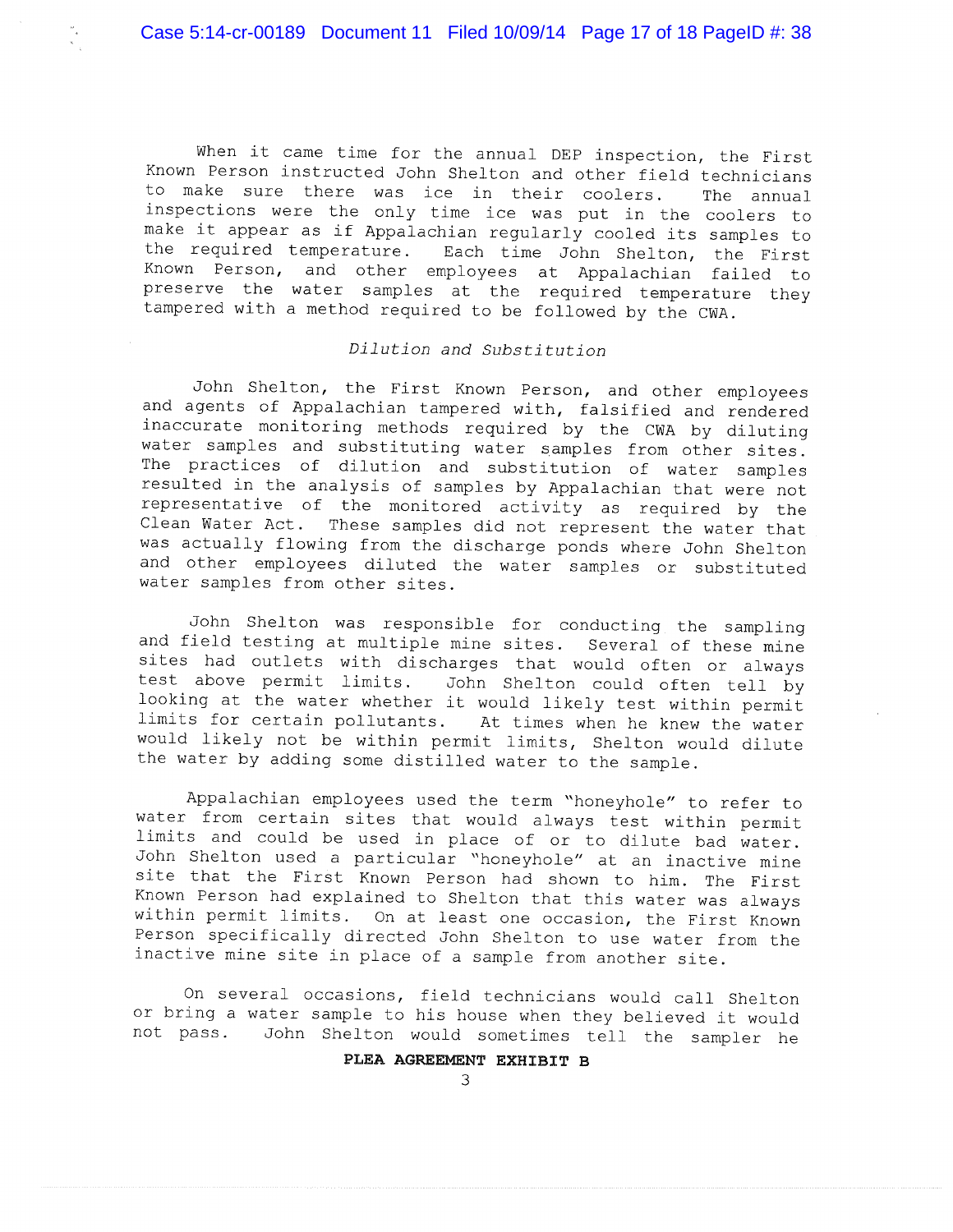When it came time for the annual DEP inspection, the First Known Person instructed John Shelton and other field technicians to make sure there was ice in their coolers. The annual inspections were the only time ice was put in the coolers to make it appear as if Appalachian regularly cooled its samples to the required temperature. Each time John Shelton, the First Known Person, and other employees at Appalachian failed to preserve the water samples at the required temperature they tampered with a method required to be followed by the CWA.

# Dilution and Substitution

John Shelton, the First Known Person, and other employees and agents of Appalachian tampered with, falsified and rendered inaccurate monitoring methods required by the CWA by diluting water samples and substituting water samples from other sites. The practices of dilution and substitution of water samples resulted in the analysis of samples by Appalachian that were not representative of the monitored activity as required by the Clean Water Act. These samples did not represent the water that was actually flowing from the discharge ponds where John Shelton and other employees diluted the water samples or substituted water samples from other sites.

John Shelton was responsible for conducting the sampling and field testing at multiple mine sites. Several of these mine sites had outlets with discharges that would often or always test above permit limits. John Shelton could often tell by looking at the water whether it would likely test within permit limits for certain pollutants. At times when he knew the water would likely not be within permit limits, Shelton would dilute the water by adding some distilled water to the sample.

Appalachian employees used the term "honeyhole" to refer to water from certain sites that would always test within permit limits and could be used in place of or to dilute bad water. John Shelton used a particular "honeyhole" at an inactive mine site that the First Known Person had shown to him. The First Known Person had explained to Shelton that this water was always within permit limits. On at least one occasion, the First Known Person specifically directed John Shelton to use water from the inactive mine site in place of a sample from another site.

On several occasions, field technicians would call Shelton or bring a water sample to his house when they believed it would John Shelton would sometimes tell the sampler he not pass.